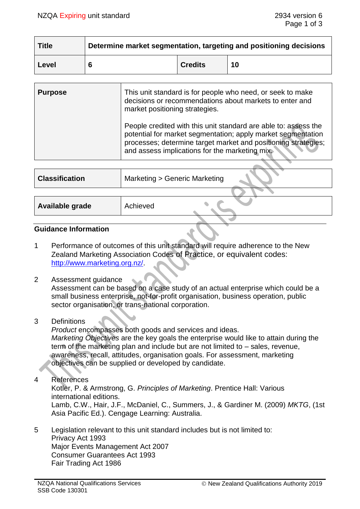| <b>Title</b> | Determine market segmentation, targeting and positioning decisions |                |    |  |
|--------------|--------------------------------------------------------------------|----------------|----|--|
| Level        |                                                                    | <b>Credits</b> | 10 |  |

| <b>Purpose</b> | This unit standard is for people who need, or seek to make<br>decisions or recommendations about markets to enter and<br>market positioning strategies.                                                                                             |
|----------------|-----------------------------------------------------------------------------------------------------------------------------------------------------------------------------------------------------------------------------------------------------|
|                | People credited with this unit standard are able to: assess the<br>potential for market segmentation; apply market segmentation<br>processes; determine target market and positioning strategies;<br>and assess implications for the marketing mix. |

| <b>Classification</b> | Marketing > Generic Marketing |
|-----------------------|-------------------------------|
|                       |                               |
| Available grade       | Achieved                      |
|                       |                               |

### **Guidance Information**

- 1 Performance of outcomes of this unit standard will require adherence to the New Zealand Marketing Association Codes of Practice, or equivalent codes: [http://www.marketing.org.nz/.](http://www.marketing.org.nz/)
- 2 Assessment guidance

Assessment can be based on a case study of an actual enterprise which could be a small business enterprise, not-for-profit organisation, business operation, public sector organisation, or trans-national corporation.

# 3 Definitions

*Product* encompasses both goods and services and ideas. *Marketing Objectives* are the key goals the enterprise would like to attain during the term of the marketing plan and include but are not limited to – sales, revenue, awareness, recall, attitudes, organisation goals. For assessment, marketing objectives can be supplied or developed by candidate.

4 References

Kotler, P. & Armstrong, G. *Principles of Marketing*. Prentice Hall: Various international editions. Lamb, C.W., Hair, J.F., McDaniel, C., Summers, J., & Gardiner M. (2009) *MKTG*, (1st Asia Pacific Ed.). Cengage Learning: Australia.

5 Legislation relevant to this unit standard includes but is not limited to: Privacy Act 1993 Major Events Management Act 2007 Consumer Guarantees Act 1993 Fair Trading Act 1986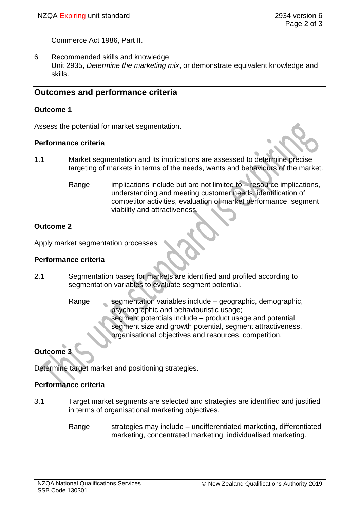Commerce Act 1986, Part II.

6 Recommended skills and knowledge: Unit 2935, *Determine the marketing mix*, or demonstrate equivalent knowledge and skills.

## **Outcomes and performance criteria**

### **Outcome 1**

Assess the potential for market segmentation.

### **Performance criteria**

- 1.1 Market segmentation and its implications are assessed to determine precise targeting of markets in terms of the needs, wants and behaviours of the market.
	- Range implications include but are not limited to resource implications, understanding and meeting customer needs, identification of competitor activities, evaluation of market performance, segment viability and attractiveness.

## **Outcome 2**

Apply market segmentation processes.

### **Performance criteria**

- 2.1 Segmentation bases for markets are identified and profiled according to segmentation variables to evaluate segment potential.
	- Range segmentation variables include geographic, demographic, psychographic and behaviouristic usage; segment potentials include – product usage and potential, segment size and growth potential, segment attractiveness, organisational objectives and resources, competition.

# **Outcome 3**

Determine target market and positioning strategies.

## **Performance criteria**

- 3.1 Target market segments are selected and strategies are identified and justified in terms of organisational marketing objectives.
	- Range strategies may include undifferentiated marketing, differentiated marketing, concentrated marketing, individualised marketing.